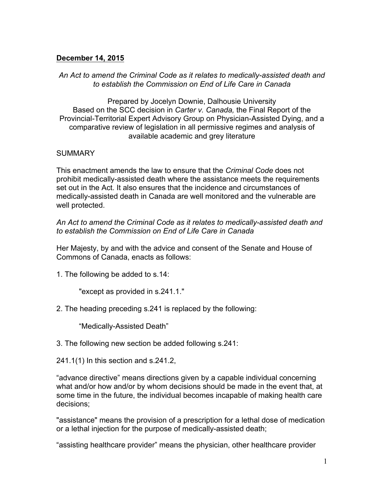### **December 14, 2015**

*An Act to amend the Criminal Code as it relates to medically-assisted death and to establish the Commission on End of Life Care in Canada*

Prepared by Jocelyn Downie, Dalhousie University Based on the SCC decision in *Carter v. Canada,* the Final Report of the Provincial-Territorial Expert Advisory Group on Physician-Assisted Dying, and a comparative review of legislation in all permissive regimes and analysis of available academic and grey literature

### **SUMMARY**

This enactment amends the law to ensure that the *Criminal Code* does not prohibit medically-assisted death where the assistance meets the requirements set out in the Act. It also ensures that the incidence and circumstances of medically-assisted death in Canada are well monitored and the vulnerable are well protected.

*An Act to amend the Criminal Code as it relates to medically-assisted death and to establish the Commission on End of Life Care in Canada*

Her Majesty, by and with the advice and consent of the Senate and House of Commons of Canada, enacts as follows:

1. The following be added to s.14:

"except as provided in s.241.1."

2. The heading preceding s.241 is replaced by the following:

"Medically-Assisted Death"

3. The following new section be added following s.241:

241.1(1) In this section and s.241.2,

"advance directive" means directions given by a capable individual concerning what and/or how and/or by whom decisions should be made in the event that, at some time in the future, the individual becomes incapable of making health care decisions;

"assistance" means the provision of a prescription for a lethal dose of medication or a lethal injection for the purpose of medically-assisted death;

"assisting healthcare provider" means the physician, other healthcare provider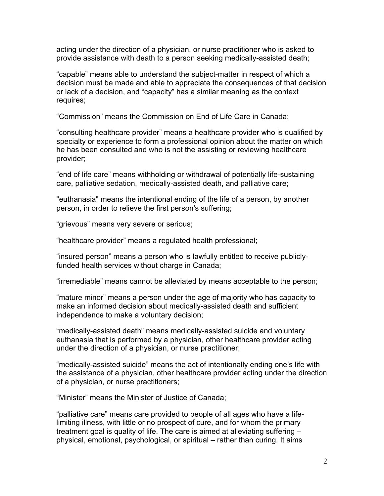acting under the direction of a physician, or nurse practitioner who is asked to provide assistance with death to a person seeking medically-assisted death;

"capable" means able to understand the subject-matter in respect of which a decision must be made and able to appreciate the consequences of that decision or lack of a decision, and "capacity" has a similar meaning as the context requires;

"Commission" means the Commission on End of Life Care in Canada;

"consulting healthcare provider" means a healthcare provider who is qualified by specialty or experience to form a professional opinion about the matter on which he has been consulted and who is not the assisting or reviewing healthcare provider;

"end of life care" means withholding or withdrawal of potentially life-sustaining care, palliative sedation, medically-assisted death, and palliative care;

"euthanasia" means the intentional ending of the life of a person, by another person, in order to relieve the first person's suffering;

"grievous" means very severe or serious;

"healthcare provider" means a regulated health professional;

"insured person" means a person who is lawfully entitled to receive publiclyfunded health services without charge in Canada;

"irremediable" means cannot be alleviated by means acceptable to the person;

"mature minor" means a person under the age of majority who has capacity to make an informed decision about medically-assisted death and sufficient independence to make a voluntary decision;

"medically-assisted death" means medically-assisted suicide and voluntary euthanasia that is performed by a physician, other healthcare provider acting under the direction of a physician, or nurse practitioner;

"medically-assisted suicide" means the act of intentionally ending one's life with the assistance of a physician, other healthcare provider acting under the direction of a physician, or nurse practitioners;

"Minister" means the Minister of Justice of Canada;

"palliative care" means care provided to people of all ages who have a lifelimiting illness, with little or no prospect of cure, and for whom the primary treatment goal is quality of life. The care is aimed at alleviating suffering – physical, emotional, psychological, or spiritual – rather than curing. It aims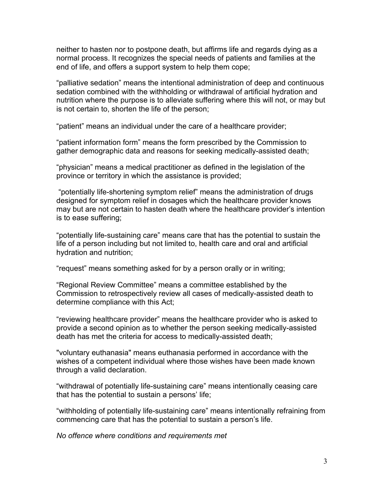neither to hasten nor to postpone death, but affirms life and regards dying as a normal process. It recognizes the special needs of patients and families at the end of life, and offers a support system to help them cope;

"palliative sedation" means the intentional administration of deep and continuous sedation combined with the withholding or withdrawal of artificial hydration and nutrition where the purpose is to alleviate suffering where this will not, or may but is not certain to, shorten the life of the person;

"patient" means an individual under the care of a healthcare provider;

"patient information form" means the form prescribed by the Commission to gather demographic data and reasons for seeking medically-assisted death;

"physician" means a medical practitioner as defined in the legislation of the province or territory in which the assistance is provided;

"potentially life-shortening symptom relief" means the administration of drugs designed for symptom relief in dosages which the healthcare provider knows may but are not certain to hasten death where the healthcare provider's intention is to ease suffering;

"potentially life-sustaining care" means care that has the potential to sustain the life of a person including but not limited to, health care and oral and artificial hydration and nutrition;

"request" means something asked for by a person orally or in writing;

"Regional Review Committee" means a committee established by the Commission to retrospectively review all cases of medically-assisted death to determine compliance with this Act;

"reviewing healthcare provider" means the healthcare provider who is asked to provide a second opinion as to whether the person seeking medically-assisted death has met the criteria for access to medically-assisted death;

"voluntary euthanasia" means euthanasia performed in accordance with the wishes of a competent individual where those wishes have been made known through a valid declaration.

"withdrawal of potentially life-sustaining care" means intentionally ceasing care that has the potential to sustain a persons' life;

"withholding of potentially life-sustaining care" means intentionally refraining from commencing care that has the potential to sustain a person's life.

*No offence where conditions and requirements met*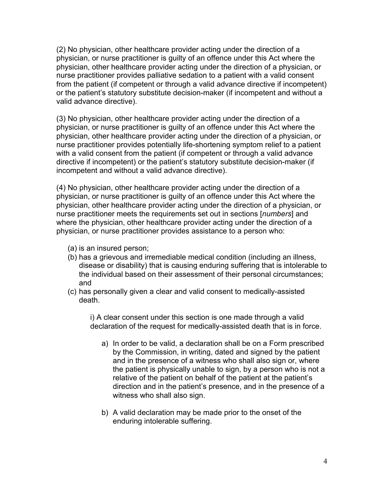(2) No physician, other healthcare provider acting under the direction of a physician, or nurse practitioner is guilty of an offence under this Act where the physician, other healthcare provider acting under the direction of a physician, or nurse practitioner provides palliative sedation to a patient with a valid consent from the patient (if competent or through a valid advance directive if incompetent) or the patient's statutory substitute decision-maker (if incompetent and without a valid advance directive).

(3) No physician, other healthcare provider acting under the direction of a physician, or nurse practitioner is guilty of an offence under this Act where the physician, other healthcare provider acting under the direction of a physician, or nurse practitioner provides potentially life-shortening symptom relief to a patient with a valid consent from the patient (if competent or through a valid advance directive if incompetent) or the patient's statutory substitute decision-maker (if incompetent and without a valid advance directive).

(4) No physician, other healthcare provider acting under the direction of a physician, or nurse practitioner is guilty of an offence under this Act where the physician, other healthcare provider acting under the direction of a physician, or nurse practitioner meets the requirements set out in sections [*numbers*] and where the physician, other healthcare provider acting under the direction of a physician, or nurse practitioner provides assistance to a person who:

- (a) is an insured person;
- (b) has a grievous and irremediable medical condition (including an illness, disease or disability) that is causing enduring suffering that is intolerable to the individual based on their assessment of their personal circumstances; and
- (c) has personally given a clear and valid consent to medically-assisted death.

i) A clear consent under this section is one made through a valid declaration of the request for medically-assisted death that is in force.

- a) In order to be valid, a declaration shall be on a Form prescribed by the Commission, in writing, dated and signed by the patient and in the presence of a witness who shall also sign or, where the patient is physically unable to sign, by a person who is not a relative of the patient on behalf of the patient at the patient's direction and in the patient's presence, and in the presence of a witness who shall also sign.
- b) A valid declaration may be made prior to the onset of the enduring intolerable suffering.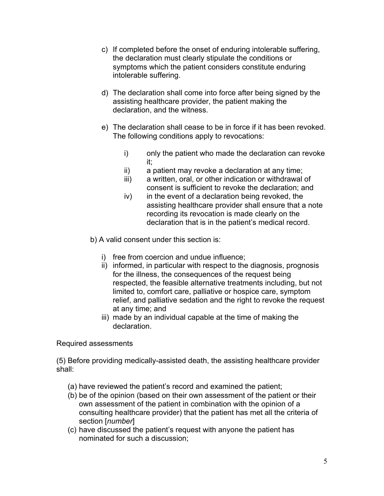- c) If completed before the onset of enduring intolerable suffering, the declaration must clearly stipulate the conditions or symptoms which the patient considers constitute enduring intolerable suffering.
- d) The declaration shall come into force after being signed by the assisting healthcare provider, the patient making the declaration, and the witness.
- e) The declaration shall cease to be in force if it has been revoked. The following conditions apply to revocations:
	- i) only the patient who made the declaration can revoke it;
	- ii) a patient may revoke a declaration at any time;
	- iii) a written, oral, or other indication or withdrawal of consent is sufficient to revoke the declaration; and
	- iv) in the event of a declaration being revoked, the assisting healthcare provider shall ensure that a note recording its revocation is made clearly on the declaration that is in the patient's medical record.
- b) A valid consent under this section is:
	- i) free from coercion and undue influence;
	- ii) informed, in particular with respect to the diagnosis, prognosis for the illness, the consequences of the request being respected, the feasible alternative treatments including, but not limited to, comfort care, palliative or hospice care, symptom relief, and palliative sedation and the right to revoke the request at any time; and
	- iii) made by an individual capable at the time of making the declaration.

Required assessments

(5) Before providing medically-assisted death, the assisting healthcare provider shall:

- (a) have reviewed the patient's record and examined the patient;
- (b) be of the opinion (based on their own assessment of the patient or their own assessment of the patient in combination with the opinion of a consulting healthcare provider) that the patient has met all the criteria of section [*number*]
- (c) have discussed the patient's request with anyone the patient has nominated for such a discussion;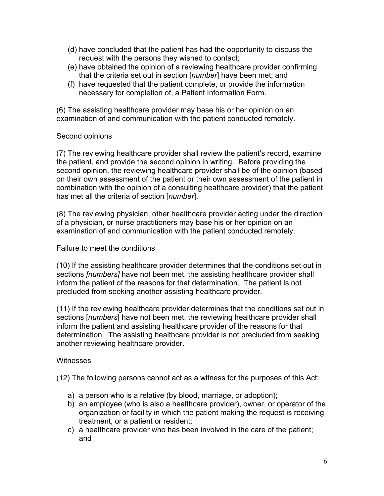- (d) have concluded that the patient has had the opportunity to discuss the request with the persons they wished to contact;
- (e) have obtained the opinion of a reviewing healthcare provider confirming that the criteria set out in section [*number*] have been met; and
- (f) have requested that the patient complete, or provide the information necessary for completion of, a Patient Information Form.

(6) The assisting healthcare provider may base his or her opinion on an examination of and communication with the patient conducted remotely.

# Second opinions

(7) The reviewing healthcare provider shall review the patient's record, examine the patient, and provide the second opinion in writing. Before providing the second opinion, the reviewing healthcare provider shall be of the opinion (based on their own assessment of the patient or their own assessment of the patient in combination with the opinion of a consulting healthcare provider) that the patient has met all the criteria of section [*number*].

(8) The reviewing physician, other healthcare provider acting under the direction of a physician, or nurse practitioners may base his or her opinion on an examination of and communication with the patient conducted remotely.

Failure to meet the conditions

(10) If the assisting healthcare provider determines that the conditions set out in sections *[numbers]* have not been met, the assisting healthcare provider shall inform the patient of the reasons for that determination. The patient is not precluded from seeking another assisting healthcare provider.

(11) If the reviewing healthcare provider determines that the conditions set out in sections [*numbers*] have not been met, the reviewing healthcare provider shall inform the patient and assisting healthcare provider of the reasons for that determination. The assisting healthcare provider is not precluded from seeking another reviewing healthcare provider.

# **Witnesses**

(12) The following persons cannot act as a witness for the purposes of this Act:

- a) a person who is a relative (by blood, marriage, or adoption);
- b) an employee (who is also a healthcare provider), owner, or operator of the organization or facility in which the patient making the request is receiving treatment, or a patient or resident;
- c) a healthcare provider who has been involved in the care of the patient; and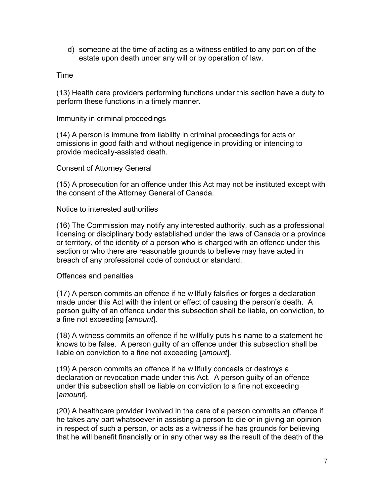d) someone at the time of acting as a witness entitled to any portion of the estate upon death under any will or by operation of law.

Time

(13) Health care providers performing functions under this section have a duty to perform these functions in a timely manner.

Immunity in criminal proceedings

(14) A person is immune from liability in criminal proceedings for acts or omissions in good faith and without negligence in providing or intending to provide medically-assisted death.

Consent of Attorney General

(15) A prosecution for an offence under this Act may not be instituted except with the consent of the Attorney General of Canada.

Notice to interested authorities

(16) The Commission may notify any interested authority, such as a professional licensing or disciplinary body established under the laws of Canada or a province or territory, of the identity of a person who is charged with an offence under this section or who there are reasonable grounds to believe may have acted in breach of any professional code of conduct or standard.

#### Offences and penalties

(17) A person commits an offence if he willfully falsifies or forges a declaration made under this Act with the intent or effect of causing the person's death. A person guilty of an offence under this subsection shall be liable, on conviction, to a fine not exceeding [*amount*].

(18) A witness commits an offence if he willfully puts his name to a statement he knows to be false. A person guilty of an offence under this subsection shall be liable on conviction to a fine not exceeding [*amount*].

(19) A person commits an offence if he willfully conceals or destroys a declaration or revocation made under this Act. A person guilty of an offence under this subsection shall be liable on conviction to a fine not exceeding [*amount*].

(20) A healthcare provider involved in the care of a person commits an offence if he takes any part whatsoever in assisting a person to die or in giving an opinion in respect of such a person, or acts as a witness if he has grounds for believing that he will benefit financially or in any other way as the result of the death of the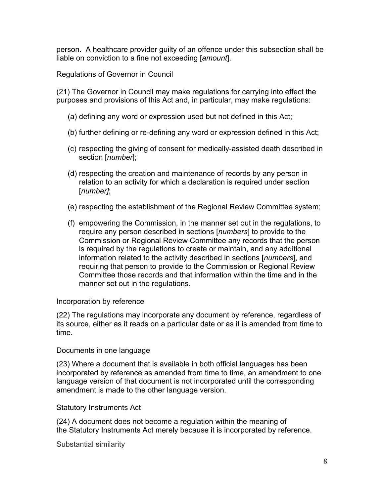person. A healthcare provider guilty of an offence under this subsection shall be liable on conviction to a fine not exceeding [*amount*].

Regulations of Governor in Council

(21) The Governor in Council may make regulations for carrying into effect the purposes and provisions of this Act and, in particular, may make regulations:

- (a) defining any word or expression used but not defined in this Act;
- (b) further defining or re-defining any word or expression defined in this Act;
- (c) respecting the giving of consent for medically-assisted death described in section [*number*];
- (d) respecting the creation and maintenance of records by any person in relation to an activity for which a declaration is required under section [*number]*;
- (e) respecting the establishment of the Regional Review Committee system;
- (f) empowering the Commission, in the manner set out in the regulations, to require any person described in sections [*numbers*] to provide to the Commission or Regional Review Committee any records that the person is required by the regulations to create or maintain, and any additional information related to the activity described in sections [*numbers*], and requiring that person to provide to the Commission or Regional Review Committee those records and that information within the time and in the manner set out in the regulations.

### Incorporation by reference

(22) The regulations may incorporate any document by reference, regardless of its source, either as it reads on a particular date or as it is amended from time to time.

### Documents in one language

(23) Where a document that is available in both official languages has been incorporated by reference as amended from time to time, an amendment to one language version of that document is not incorporated until the corresponding amendment is made to the other language version.

### Statutory Instruments Act

(24) A document does not become a regulation within the meaning of the Statutory Instruments Act merely because it is incorporated by reference.

Substantial similarity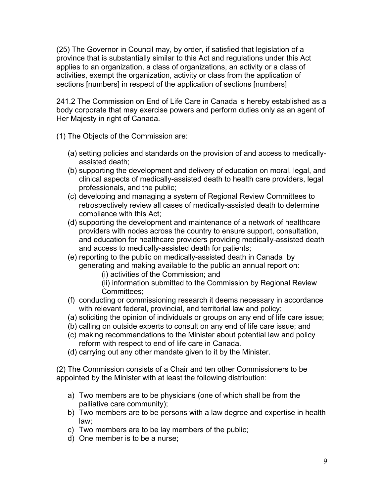(25) The Governor in Council may, by order, if satisfied that legislation of a province that is substantially similar to this Act and regulations under this Act applies to an organization, a class of organizations, an activity or a class of activities, exempt the organization, activity or class from the application of sections [numbers] in respect of the application of sections [numbers]

241.2 The Commission on End of Life Care in Canada is hereby established as a body corporate that may exercise powers and perform duties only as an agent of Her Majesty in right of Canada.

(1) The Objects of the Commission are:

- (a) setting policies and standards on the provision of and access to medicallyassisted death;
- (b) supporting the development and delivery of education on moral, legal, and clinical aspects of medically-assisted death to health care providers, legal professionals, and the public;
- (c) developing and managing a system of Regional Review Committees to retrospectively review all cases of medically-assisted death to determine compliance with this Act;
- (d) supporting the development and maintenance of a network of healthcare providers with nodes across the country to ensure support, consultation, and education for healthcare providers providing medically-assisted death and access to medically-assisted death for patients;
- (e) reporting to the public on medically-assisted death in Canada by generating and making available to the public an annual report on:
	- (i) activities of the Commission; and
	- (ii) information submitted to the Commission by Regional Review Committees;
- (f) conducting or commissioning research it deems necessary in accordance with relevant federal, provincial, and territorial law and policy;
- (a) soliciting the opinion of individuals or groups on any end of life care issue;
- (b) calling on outside experts to consult on any end of life care issue; and
- (c) making recommendations to the Minister about potential law and policy reform with respect to end of life care in Canada.
- (d) carrying out any other mandate given to it by the Minister.

(2) The Commission consists of a Chair and ten other Commissioners to be appointed by the Minister with at least the following distribution:

- a) Two members are to be physicians (one of which shall be from the palliative care community);
- b) Two members are to be persons with a law degree and expertise in health law;
- c) Two members are to be lay members of the public;
- d) One member is to be a nurse;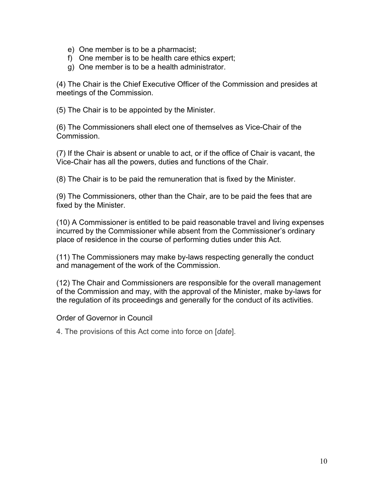- e) One member is to be a pharmacist;
- f) One member is to be health care ethics expert;
- g) One member is to be a health administrator.

(4) The Chair is the Chief Executive Officer of the Commission and presides at meetings of the Commission.

(5) The Chair is to be appointed by the Minister.

(6) The Commissioners shall elect one of themselves as Vice-Chair of the Commission.

(7) If the Chair is absent or unable to act, or if the office of Chair is vacant, the Vice-Chair has all the powers, duties and functions of the Chair.

(8) The Chair is to be paid the remuneration that is fixed by the Minister.

(9) The Commissioners, other than the Chair, are to be paid the fees that are fixed by the Minister.

(10) A Commissioner is entitled to be paid reasonable travel and living expenses incurred by the Commissioner while absent from the Commissioner's ordinary place of residence in the course of performing duties under this Act.

(11) The Commissioners may make by-laws respecting generally the conduct and management of the work of the Commission.

(12) The Chair and Commissioners are responsible for the overall management of the Commission and may, with the approval of the Minister, make by-laws for the regulation of its proceedings and generally for the conduct of its activities.

Order of Governor in Council

4. The provisions of this Act come into force on [*date*].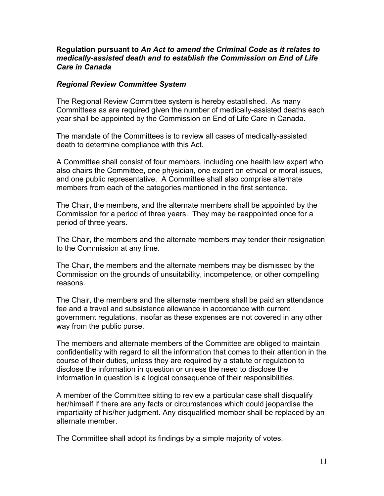### **Regulation pursuant to** *An Act to amend the Criminal Code as it relates to medically-assisted death and to establish the Commission on End of Life Care in Canada*

#### *Regional Review Committee System*

The Regional Review Committee system is hereby established. As many Committees as are required given the number of medically-assisted deaths each year shall be appointed by the Commission on End of Life Care in Canada.

The mandate of the Committees is to review all cases of medically-assisted death to determine compliance with this Act.

A Committee shall consist of four members, including one health law expert who also chairs the Committee, one physician, one expert on ethical or moral issues, and one public representative. A Committee shall also comprise alternate members from each of the categories mentioned in the first sentence.

The Chair, the members, and the alternate members shall be appointed by the Commission for a period of three years. They may be reappointed once for a period of three years.

The Chair, the members and the alternate members may tender their resignation to the Commission at any time.

The Chair, the members and the alternate members may be dismissed by the Commission on the grounds of unsuitability, incompetence, or other compelling reasons.

The Chair, the members and the alternate members shall be paid an attendance fee and a travel and subsistence allowance in accordance with current government regulations, insofar as these expenses are not covered in any other way from the public purse.

The members and alternate members of the Committee are obliged to maintain confidentiality with regard to all the information that comes to their attention in the course of their duties, unless they are required by a statute or regulation to disclose the information in question or unless the need to disclose the information in question is a logical consequence of their responsibilities.

A member of the Committee sitting to review a particular case shall disqualify her/himself if there are any facts or circumstances which could jeopardise the impartiality of his/her judgment. Any disqualified member shall be replaced by an alternate member.

The Committee shall adopt its findings by a simple majority of votes.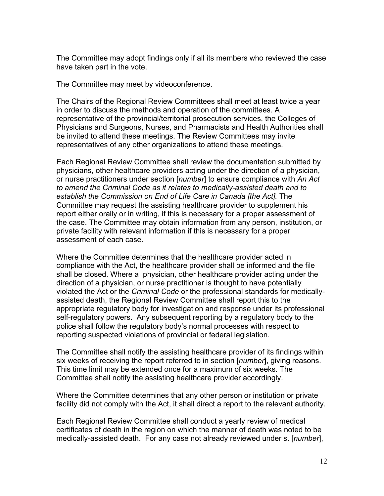The Committee may adopt findings only if all its members who reviewed the case have taken part in the vote.

The Committee may meet by videoconference.

The Chairs of the Regional Review Committees shall meet at least twice a year in order to discuss the methods and operation of the committees. A representative of the provincial/territorial prosecution services, the Colleges of Physicians and Surgeons, Nurses, and Pharmacists and Health Authorities shall be invited to attend these meetings. The Review Committees may invite representatives of any other organizations to attend these meetings.

Each Regional Review Committee shall review the documentation submitted by physicians, other healthcare providers acting under the direction of a physician, or nurse practitioners under section [*number*] to ensure compliance with *An Act to amend the Criminal Code as it relates to medically-assisted death and to establish the Commission on End of Life Care in Canada [the Act].* The Committee may request the assisting healthcare provider to supplement his report either orally or in writing, if this is necessary for a proper assessment of the case. The Committee may obtain information from any person, institution, or private facility with relevant information if this is necessary for a proper assessment of each case.

Where the Committee determines that the healthcare provider acted in compliance with the Act, the healthcare provider shall be informed and the file shall be closed. Where a physician, other healthcare provider acting under the direction of a physician, or nurse practitioner is thought to have potentially violated the Act or the *Criminal Code* or the professional standards for medicallyassisted death, the Regional Review Committee shall report this to the appropriate regulatory body for investigation and response under its professional self-regulatory powers. Any subsequent reporting by a regulatory body to the police shall follow the regulatory body's normal processes with respect to reporting suspected violations of provincial or federal legislation.

The Committee shall notify the assisting healthcare provider of its findings within six weeks of receiving the report referred to in section [*number*], giving reasons. This time limit may be extended once for a maximum of six weeks. The Committee shall notify the assisting healthcare provider accordingly.

Where the Committee determines that any other person or institution or private facility did not comply with the Act, it shall direct a report to the relevant authority.

Each Regional Review Committee shall conduct a yearly review of medical certificates of death in the region on which the manner of death was noted to be medically-assisted death. For any case not already reviewed under s. [*number*],